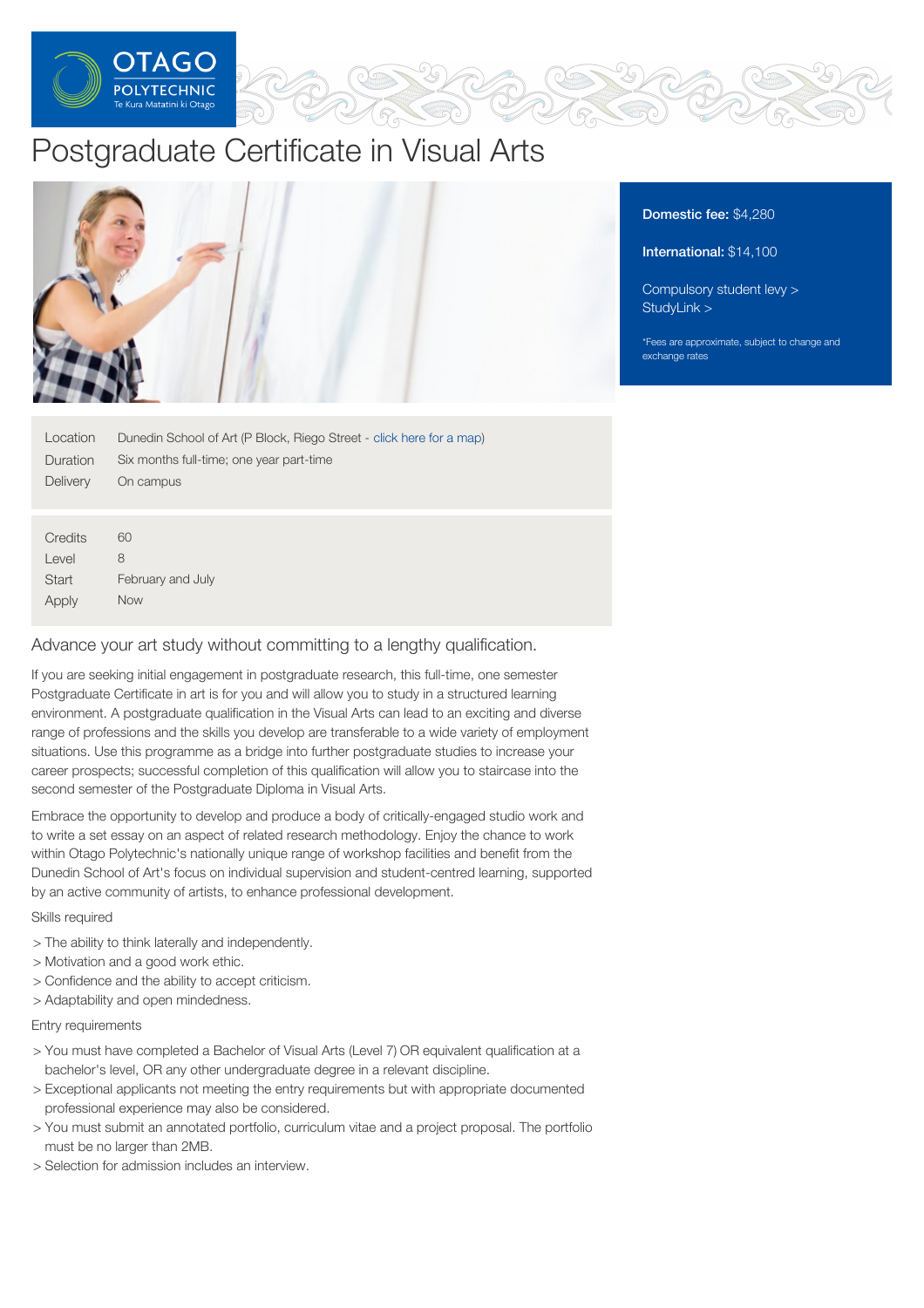

# Postgraduate Certificate in Visual Arts



| Location     | Dunedin School of Art (P Block, Riego Street - click here for a map) |  |  |
|--------------|----------------------------------------------------------------------|--|--|
| Duration     | Six months full-time; one year part-time                             |  |  |
| Delivery     | On campus                                                            |  |  |
|              |                                                                      |  |  |
|              |                                                                      |  |  |
| Credits      | 60                                                                   |  |  |
| Level        | 8                                                                    |  |  |
| <b>Start</b> | February and July                                                    |  |  |

Apply Now

# Advance your art study without committing to a lengthy qualification.

If you are seeking initial engagement in postgraduate research, this full-time, one semester Postgraduate Certificate in art is for you and will allow you to study in a structured learning environment. A postgraduate qualification in the Visual Arts can lead to an exciting and diverse range of professions and the skills you develop are transferable to a wide variety of employment situations. Use this programme as a bridge into further postgraduate studies to increase your career prospects; successful completion of this qualification will allow you to staircase into the second semester of the Postgraduate Diploma in Visual Arts.

Embrace the opportunity to develop and produce a body of critically-engaged studio work and to write a set essay on an aspect of related research methodology. Enjoy the chance to work within Otago Polytechnic's nationally unique range of workshop facilities and benefit from the Dunedin School of Art's focus on individual supervision and student-centred learning, supported by an active community of artists, to enhance professional development.

## Skills required

- > The ability to think laterally and independently.
- > Motivation and a good work ethic.
- > Confidence and the ability to accept criticism.
- > Adaptability and open mindedness.

## Entry requirements

- > You must have completed a Bachelor of Visual Arts (Level 7) OR equivalent qualification at a bachelor's level, OR any other undergraduate degree in a relevant discipline.
- > Exceptional applicants not meeting the entry requirements but with appropriate documented professional experience may also be considered.
- > You must submit an annotated portfolio, curriculum vitae and a project proposal. The portfolio must be no larger than 2MB.
- > Selection for admission includes an interview.

# Domestic fee: \$4,280

# International: \$14,100

[Compulsory](https://online.op.ac.nz/students/important-information/student-services-levy/) student levy > [StudyLink](https://www.studylink.govt.nz/) >

\*Fees are approximate, subject to change and exchange rates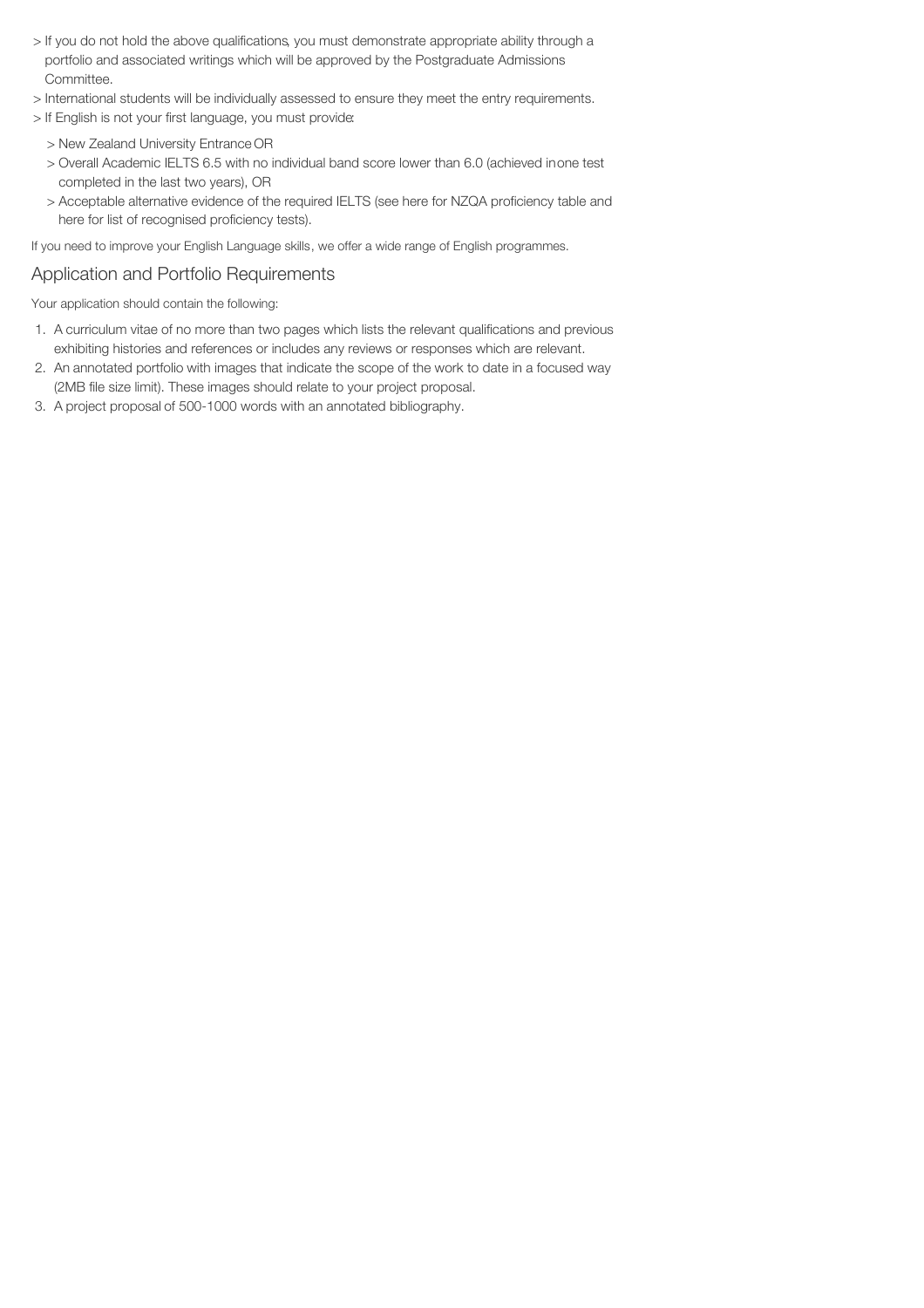- > If you do not hold the above qualifications, you must demonstrate appropriate ability through a portfolio and associated writings which will be approved by the Postgraduate Admissions Committee.
- > International students will be individually assessed to ensure they meet the entry requirements.
- > If English is not your first language, you must provide:
	- > New Zealand University Entrance OR
	- > Overall Academic IELTS 6.5 with no individual band score lower than 6.0 (achieved inone test completed in the last two years), OR
	- > Acceptable alternative evidence of the required IELTS (see here for NZQA proficiency table and here for list of recognised proficiency tests).

If you need to improve your English Language skills, we offer a wide range of English programmes.

# Application and Portfolio Requirements

Your application should contain the following:

- 1. A curriculum vitae of no more than two pages which lists the relevant qualifications and previous exhibiting histories and references or includes any reviews or responses which are relevant.
- 2. An annotated portfolio with images that indicate the scope of the work to date in a focused way (2MB file size limit). These images should relate to your project proposal.
- 3. A project proposal of 500-1000 words with an annotated bibliography.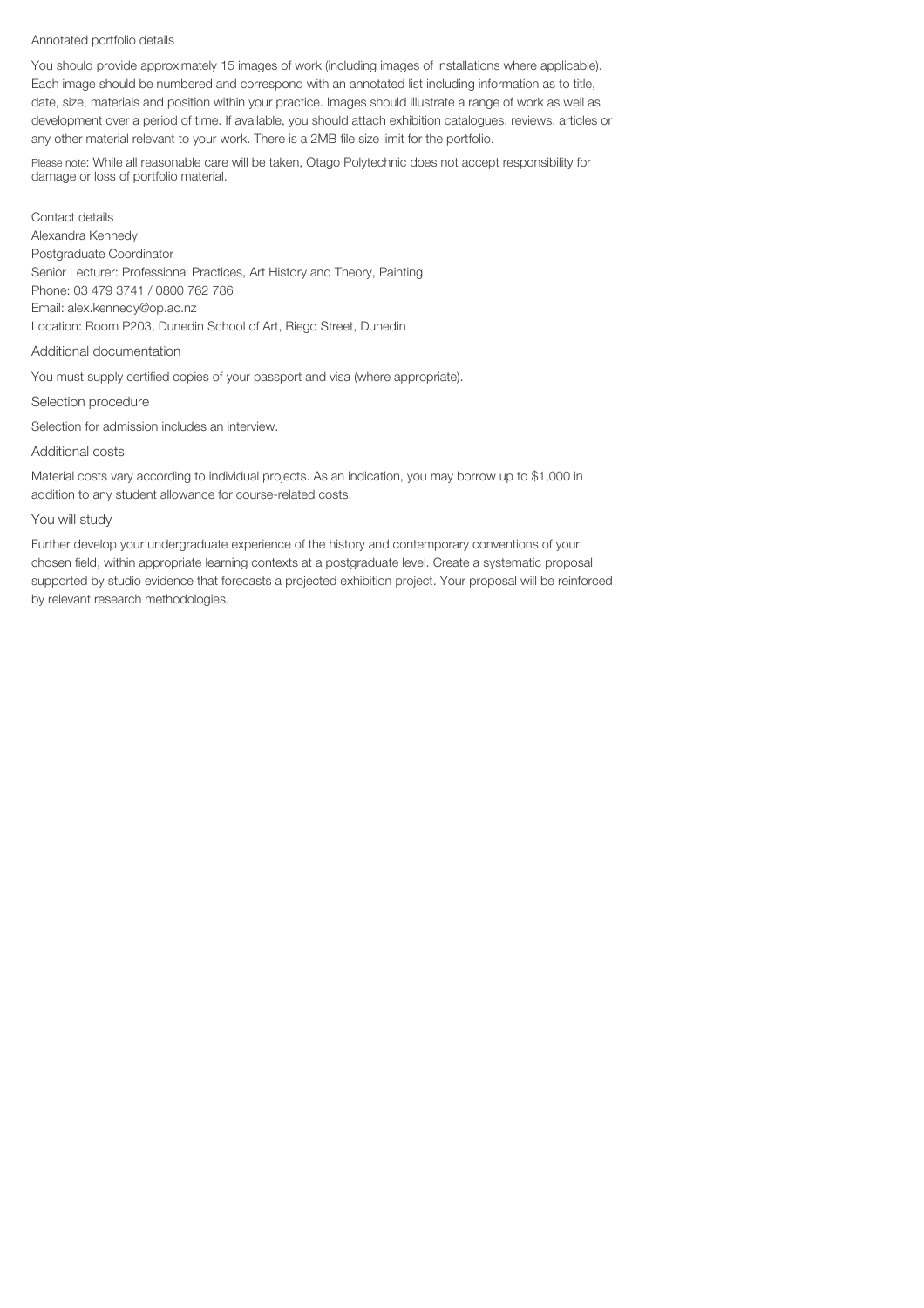#### Annotated portfolio details

You should provide approximately 15 images of work (including images of installations where applicable). Each image should be numbered and correspond with an annotated list including information as to title, date, size, materials and position within your practice. Images should illustrate a range of work as well as development over a period of time. If available, you should attach exhibition catalogues, reviews, articles or any other material relevant to your work. There is a 2MB file size limit for the portfolio.

Please note: While all reasonable care will be taken, Otago Polytechnic does not accept responsibility for damage or loss of portfolio material.

Contact details Alexandra Kennedy Postgraduate Coordinator Senior Lecturer: Professional Practices, Art History and Theory, Painting Phone: 03 479 3741 / 0800 762 786 Email: alex.kennedy@op.ac.nz Location: Room P203, Dunedin School of Art, Riego Street, Dunedin

#### Additional documentation

You must supply certified copies of your passport and visa (where appropriate).

#### Selection procedure

Selection for admission includes an interview.

#### Additional costs

Material costs vary according to individual projects. As an indication, you may borrow up to \$1,000 in addition to any student allowance for course-related costs.

#### You will study

Further develop your undergraduate experience of the history and contemporary conventions of your chosen field, within appropriate learning contexts at a postgraduate level. Create a systematic proposal supported by studio evidence that forecasts a projected exhibition project. Your proposal will be reinforced by relevant research methodologies.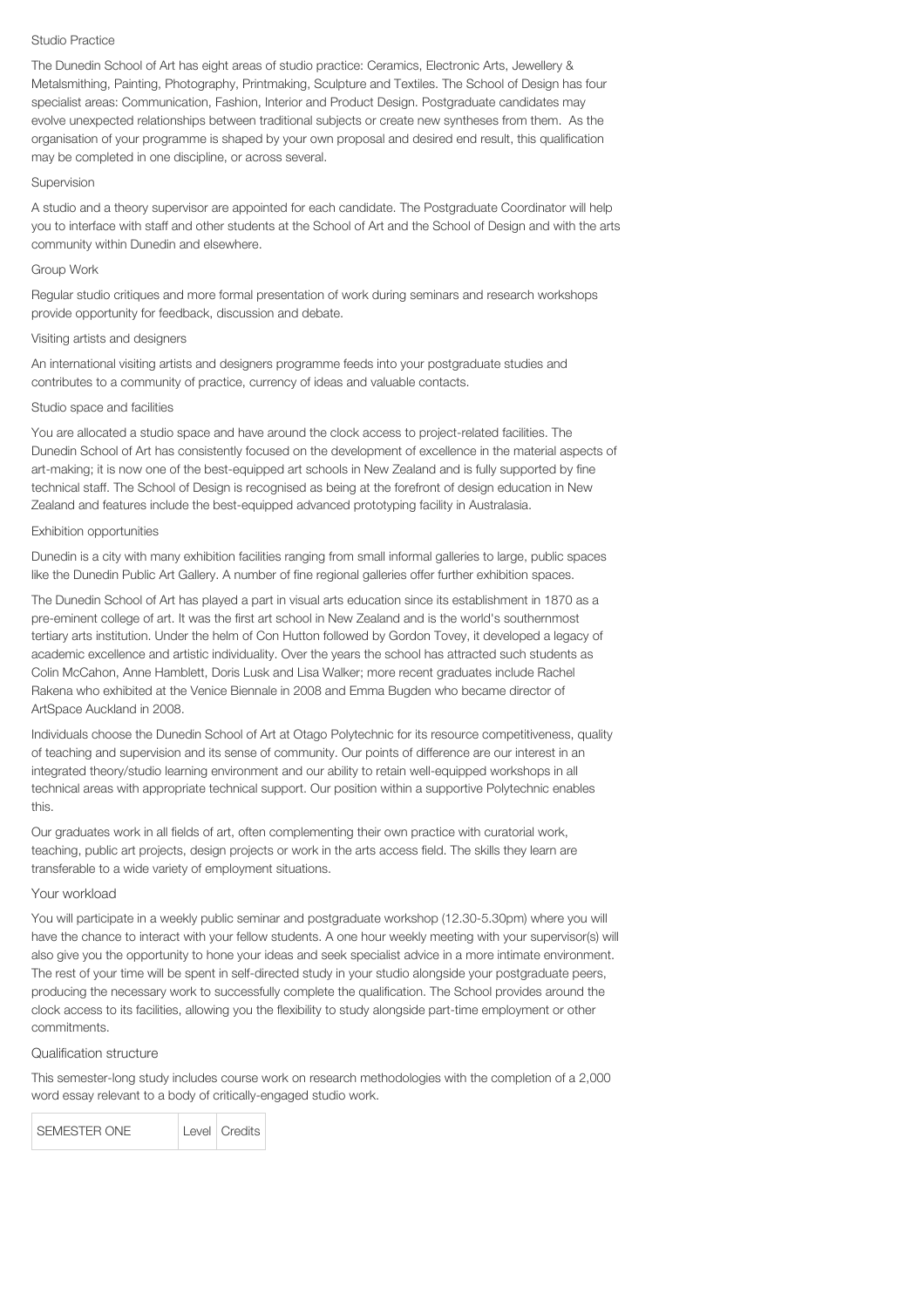#### Studio Practice

The Dunedin School of Art has eight areas of studio practice: Ceramics, Electronic Arts, Jewellery & Metalsmithing, Painting, Photography, Printmaking, Sculpture and Textiles. The School of Design has four specialist areas: Communication, Fashion, Interior and Product Design. Postgraduate candidates may evolve unexpected relationships between traditional subjects or create new syntheses from them. As the organisation of your programme is shaped by your own proposal and desired end result, this qualification may be completed in one discipline, or across several.

#### Supervision

A studio and a theory supervisor are appointed for each candidate. The Postgraduate Coordinator will help you to interface with staff and other students at the School of Art and the School of Design and with the arts community within Dunedin and elsewhere.

#### Group Work

Regular studio critiques and more formal presentation of work during seminars and research workshops provide opportunity for feedback, discussion and debate.

#### Visiting artists and designers

An international visiting artists and designers programme feeds into your postgraduate studies and contributes to a community of practice, currency of ideas and valuable contacts.

#### Studio space and facilities

You are allocated a studio space and have around the clock access to project-related facilities. The Dunedin School of Art has consistently focused on the development of excellence in the material aspects of art-making; it is now one of the best-equipped art schools in New Zealand and is fully supported by fine technical staff. The School of Design is recognised as being at the forefront of design education in New Zealand and features include the best-equipped advanced prototyping facility in Australasia.

#### Exhibition opportunities

Dunedin is a city with many exhibition facilities ranging from small informal galleries to large, public spaces like the Dunedin Public Art Gallery. A number of fine regional galleries offer further exhibition spaces.

The Dunedin School of Art has played a part in visual arts education since its establishment in 1870 as a pre-eminent college of art. It was the first art school in New Zealand and is the world's southernmost tertiary arts institution. Under the helm of Con Hutton followed by Gordon Tovey, it developed a legacy of academic excellence and artistic individuality. Over the years the school has attracted such students as Colin McCahon, Anne Hamblett, Doris Lusk and Lisa Walker; more recent graduates include Rachel Rakena who exhibited at the Venice Biennale in 2008 and Emma Bugden who became director of ArtSpace Auckland in 2008.

Individuals choose the Dunedin School of Art at Otago Polytechnic for its resource competitiveness, quality of teaching and supervision and its sense of community. Our points of difference are our interest in an integrated theory/studio learning environment and our ability to retain well-equipped workshops in all technical areas with appropriate technical support. Our position within a supportive Polytechnic enables this.

Our graduates work in all fields of art, often complementing their own practice with curatorial work, teaching, public art projects, design projects or work in the arts access field. The skills they learn are transferable to a wide variety of employment situations.

#### Your workload

You will participate in a weekly public seminar and postgraduate workshop (12.30-5.30pm) where you will have the chance to interact with your fellow students. A one hour weekly meeting with your supervisor(s) will also give you the opportunity to hone your ideas and seek specialist advice in a more intimate environment. The rest of your time will be spent in self-directed study in your studio alongside your postgraduate peers, producing the necessary work to successfully complete the qualification. The School provides around the clock access to its facilities, allowing you the flexibility to study alongside part-time employment or other commitments.

## Qualification structure

This semester-long study includes course work on research methodologies with the completion of a 2,000 word essay relevant to a body of critically-engaged studio work.

SEMESTER ONE Level Credits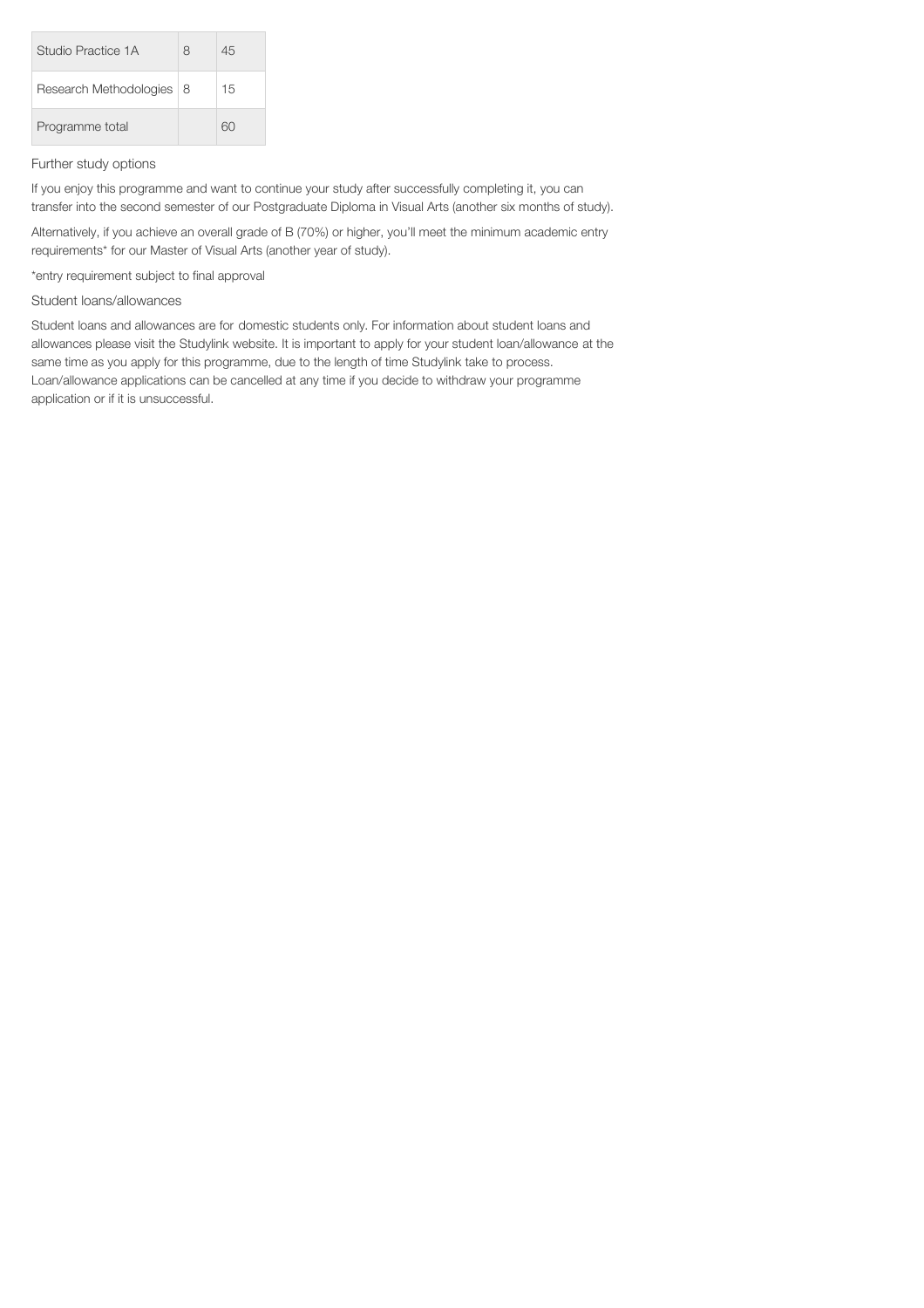| Studio Practice 1A         | 8 | 45 |
|----------------------------|---|----|
| Research Methodologies   8 |   | 15 |
| Programme total            |   | 60 |

## Further study options

If you enjoy this programme and want to continue your study after successfully completing it, you can transfer into the second semester of our Postgraduate Diploma in Visual Arts (another six months of study).

Alternatively, if you achieve an overall grade of B (70%) or higher, you'll meet the minimum academic entry requirements\* for our Master of Visual Arts (another year of study).

\*entry requirement subject to final approval

Student loans/allowances

Student loans and allowances are for domestic students only. For information about student loans and allowances please visit the Studylink website. It is important to apply for your student loan/allowance at the same time as you apply for this programme, due to the length of time Studylink take to process. Loan/allowance applications can be cancelled at any time if you decide to withdraw your programme application or if it is unsuccessful.